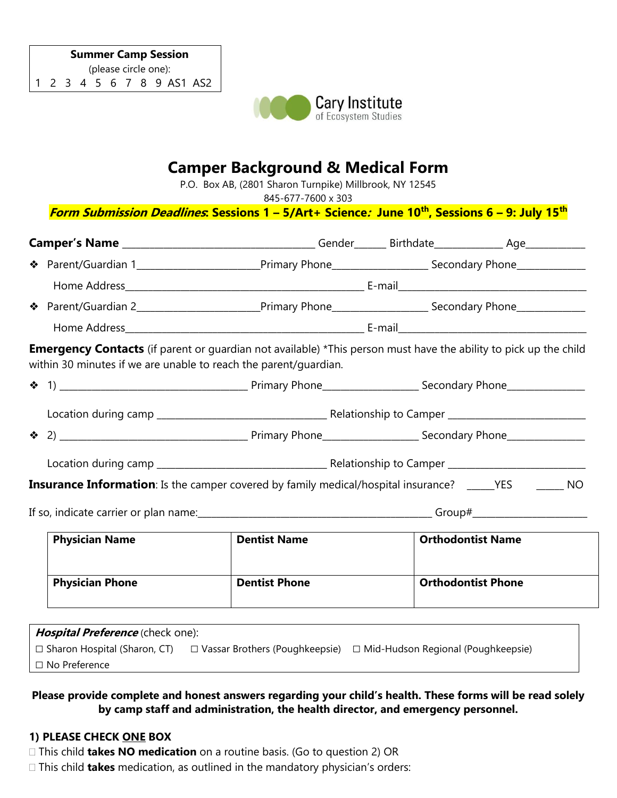

# **Camper Background & Medical Form**

P.O. Box AB, (2801 Sharon Turnpike) Millbrook, NY 12545

845-677-7600 x 303

# **Form Submission Deadlines: Sessions 1 – 5/Art+ Science: June 10th, Sessions 6 – 9: July 15th**

| ◆ Parent/Guardian 1___________________________________Primary Phone_________________________Secondary Phone_______________                                                                  |                      |                          |                           |  |
|---------------------------------------------------------------------------------------------------------------------------------------------------------------------------------------------|----------------------|--------------------------|---------------------------|--|
|                                                                                                                                                                                             |                      |                          |                           |  |
| ◆ Parent/Guardian 2___________________________________Primary Phone_________________________Secondary Phone________________                                                                 |                      |                          |                           |  |
|                                                                                                                                                                                             |                      |                          |                           |  |
| <b>Emergency Contacts</b> (if parent or guardian not available) *This person must have the ability to pick up the child<br>within 30 minutes if we are unable to reach the parent/guardian. |                      |                          |                           |  |
|                                                                                                                                                                                             |                      |                          |                           |  |
|                                                                                                                                                                                             |                      |                          |                           |  |
|                                                                                                                                                                                             |                      |                          |                           |  |
|                                                                                                                                                                                             |                      |                          |                           |  |
| <b>Insurance Information</b> : Is the camper covered by family medical/hospital insurance? _____YES _______ NO                                                                              |                      |                          |                           |  |
|                                                                                                                                                                                             |                      |                          |                           |  |
| <b>Physician Name</b>                                                                                                                                                                       | <b>Dentist Name</b>  | <b>Orthodontist Name</b> |                           |  |
| <b>Physician Phone</b>                                                                                                                                                                      | <b>Dentist Phone</b> |                          | <b>Orthodontist Phone</b> |  |
| $\mu_{\text{non-}1}$                                                                                                                                                                        |                      |                          |                           |  |

| Hospital Preference (check one):    |                                       |                                           |  |  |  |  |
|-------------------------------------|---------------------------------------|-------------------------------------------|--|--|--|--|
| $\Box$ Sharon Hospital (Sharon, CT) | $\Box$ Vassar Brothers (Poughkeepsie) | $\Box$ Mid-Hudson Regional (Poughkeepsie) |  |  |  |  |
| $\Box$ No Preference                |                                       |                                           |  |  |  |  |

## **Please provide complete and honest answers regarding your child's health. These forms will be read solely by camp staff and administration, the health director, and emergency personnel.**

## **1) PLEASE CHECK ONE BOX**

- This child **takes NO medication** on a routine basis. (Go to question 2) OR
- This child **takes** medication, as outlined in the mandatory physician's orders: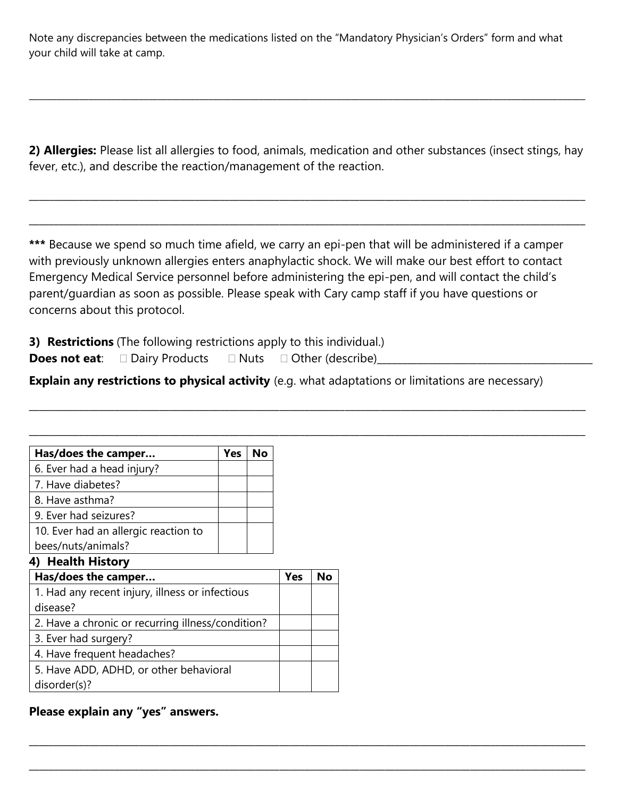Note any discrepancies between the medications listed on the "Mandatory Physician's Orders" form and what your child will take at camp.

**2) Allergies:** Please list all allergies to food, animals, medication and other substances (insect stings, hay fever, etc.), and describe the reaction/management of the reaction.

\_\_\_\_\_\_\_\_\_\_\_\_\_\_\_\_\_\_\_\_\_\_\_\_\_\_\_\_\_\_\_\_\_\_\_\_\_\_\_\_\_\_\_\_\_\_\_\_\_\_\_\_\_\_\_\_\_\_\_\_\_\_\_\_\_\_\_\_\_\_\_\_\_\_\_\_\_\_\_\_\_\_\_\_\_\_\_\_\_\_\_\_\_\_\_\_\_\_\_\_\_\_\_\_\_\_\_\_\_\_\_

\_\_\_\_\_\_\_\_\_\_\_\_\_\_\_\_\_\_\_\_\_\_\_\_\_\_\_\_\_\_\_\_\_\_\_\_\_\_\_\_\_\_\_\_\_\_\_\_\_\_\_\_\_\_\_\_\_\_\_\_\_\_\_\_\_\_\_\_\_\_\_\_\_\_\_\_\_\_\_\_\_\_\_\_\_\_\_\_\_\_\_\_\_\_\_\_\_\_\_\_\_\_\_\_\_\_\_\_\_\_\_

 $\_$  ,  $\_$  ,  $\_$  ,  $\_$  ,  $\_$  ,  $\_$  ,  $\_$  ,  $\_$  ,  $\_$  ,  $\_$  ,  $\_$  ,  $\_$  ,  $\_$  ,  $\_$  ,  $\_$  ,  $\_$  ,  $\_$  ,  $\_$  ,  $\_$  ,  $\_$  ,  $\_$  ,  $\_$  ,  $\_$  ,  $\_$  ,  $\_$  ,  $\_$  ,  $\_$  ,  $\_$  ,  $\_$  ,  $\_$  ,  $\_$  ,  $\_$  ,  $\_$  ,  $\_$  ,  $\_$  ,  $\_$  ,  $\_$  ,

**\*\*\*** Because we spend so much time afield, we carry an epi-pen that will be administered if a camper with previously unknown allergies enters anaphylactic shock. We will make our best effort to contact Emergency Medical Service personnel before administering the epi-pen, and will contact the child's parent/guardian as soon as possible. Please speak with Cary camp staff if you have questions or concerns about this protocol.

**3) Restrictions** (The following restrictions apply to this individual.)

**Does not eat:**  $\square$  Dairy Products  $\square$  Nuts  $\square$  Other (describe)\_\_\_\_\_\_\_\_\_\_\_\_\_\_\_\_\_\_\_\_

**Explain any restrictions to physical activity** (e.g. what adaptations or limitations are necessary)

\_\_\_\_\_\_\_\_\_\_\_\_\_\_\_\_\_\_\_\_\_\_\_\_\_\_\_\_\_\_\_\_\_\_\_\_\_\_\_\_\_\_\_\_\_\_\_\_\_\_\_\_\_\_\_\_\_\_\_\_\_\_\_\_\_\_\_\_\_\_\_\_\_\_\_\_\_\_\_\_\_\_\_\_\_\_\_\_\_\_\_\_\_\_\_\_\_\_\_\_\_\_\_\_\_\_\_\_\_\_\_

\_\_\_\_\_\_\_\_\_\_\_\_\_\_\_\_\_\_\_\_\_\_\_\_\_\_\_\_\_\_\_\_\_\_\_\_\_\_\_\_\_\_\_\_\_\_\_\_\_\_\_\_\_\_\_\_\_\_\_\_\_\_\_\_\_\_\_\_\_\_\_\_\_\_\_\_\_\_\_\_\_\_\_\_\_\_\_\_\_\_\_\_\_\_\_\_\_\_\_\_\_\_\_\_\_\_\_\_\_\_\_

\_\_\_\_\_\_\_\_\_\_\_\_\_\_\_\_\_\_\_\_\_\_\_\_\_\_\_\_\_\_\_\_\_\_\_\_\_\_\_\_\_\_\_\_\_\_\_\_\_\_\_\_\_\_\_\_\_\_\_\_\_\_\_\_\_\_\_\_\_\_\_\_\_\_\_\_\_\_\_\_\_\_\_\_\_\_\_\_\_\_\_\_\_\_\_\_\_\_\_\_\_\_\_\_\_\_\_\_\_\_\_

| Has/does the camper                  | Yes No |
|--------------------------------------|--------|
| 6. Ever had a head injury?           |        |
| 7. Have diabetes?                    |        |
| 8. Have asthma?                      |        |
| 9. Ever had seizures?                |        |
| 10. Ever had an allergic reaction to |        |
| bees/nuts/animals?                   |        |
| $\Lambda$ Haalth History             |        |

#### **4) Health History**

| Has/does the camper                               | Yes |  |
|---------------------------------------------------|-----|--|
| 1. Had any recent injury, illness or infectious   |     |  |
| disease?                                          |     |  |
| 2. Have a chronic or recurring illness/condition? |     |  |
| 3. Ever had surgery?                              |     |  |
| 4. Have frequent headaches?                       |     |  |
| 5. Have ADD, ADHD, or other behavioral            |     |  |
| disorder(s)?                                      |     |  |

# **Please explain any "yes" answers.**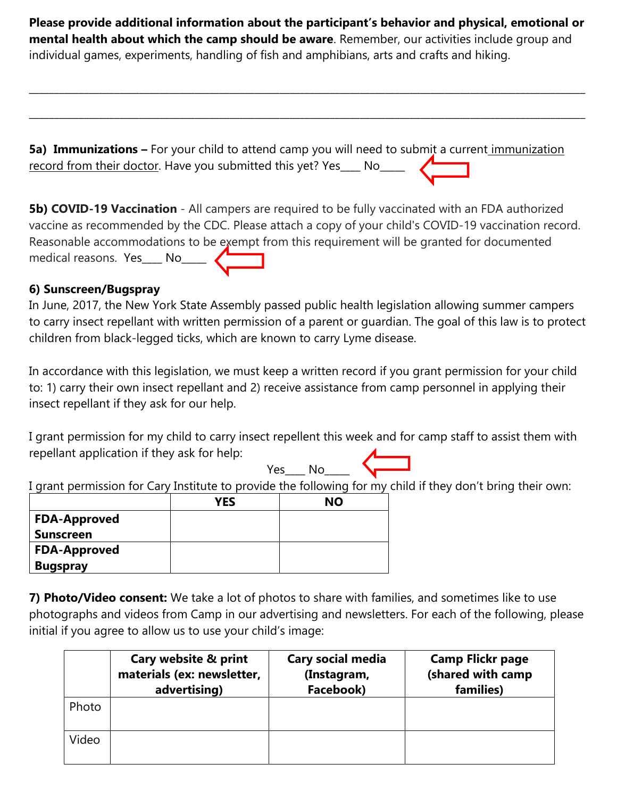**Please provide additional information about the participant's behavior and physical, emotional or mental health about which the camp should be aware**. Remember, our activities include group and individual games, experiments, handling of fish and amphibians, arts and crafts and hiking.

 $\_$  , and the set of the set of the set of the set of the set of the set of the set of the set of the set of the set of the set of the set of the set of the set of the set of the set of the set of the set of the set of th

\_\_\_\_\_\_\_\_\_\_\_\_\_\_\_\_\_\_\_\_\_\_\_\_\_\_\_\_\_\_\_\_\_\_\_\_\_\_\_\_\_\_\_\_\_\_\_\_\_\_\_\_\_\_\_\_\_\_\_\_\_\_\_\_\_\_\_\_\_\_\_\_\_\_\_\_\_\_\_\_\_\_\_\_\_\_\_\_\_\_\_\_\_\_\_\_\_\_\_\_\_\_\_\_\_\_\_\_\_\_\_

**5a) Immunizations –** For your child to attend camp you will need to submit a current immunization record from their doctor. Have you submitted this yet? Yes\_\_\_\_ No\_\_\_\_\_\_\_\_\_\_\_\_\_\_\_\_

**5b) COVID-19 Vaccination** - All campers are required to be fully vaccinated with an FDA authorized vaccine as recommended by the CDC. Please attach a copy of your child's COVID-19 vaccination record. Reasonable accommodations to be exempt from this requirement will be granted for documented medical reasons. Yes\_\_\_\_ No\_\_\_\_\_

# **6) Sunscreen/Bugspray**

In June, 2017, the New York State Assembly passed public health legislation allowing summer campers to carry insect repellant with written permission of a parent or guardian. The goal of this law is to protect children from black-legged ticks, which are known to carry Lyme disease.

In accordance with this legislation, we must keep a written record if you grant permission for your child to: 1) carry their own insect repellant and 2) receive assistance from camp personnel in applying their insect repellant if they ask for our help.

I grant permission for my child to carry insect repellent this week and for camp staff to assist them with repellant application if they ask for help:  $Yes$  No  $\overbrace{\phantom{aaaaa}}$ 

I grant permission for Cary Institute to provide the following for my child if they don't bring their own:

|                     | YES | <b>NO</b> |
|---------------------|-----|-----------|
| <b>FDA-Approved</b> |     |           |
| <b>Sunscreen</b>    |     |           |
| <b>FDA-Approved</b> |     |           |
| <b>Bugspray</b>     |     |           |

**7) Photo/Video consent:** We take a lot of photos to share with families, and sometimes like to use photographs and videos from Camp in our advertising and newsletters. For each of the following, please initial if you agree to allow us to use your child's image:

|       | Cary website & print<br>materials (ex: newsletter,<br>advertising) | <b>Cary social media</b><br>(Instagram,<br>Facebook) | <b>Camp Flickr page</b><br>(shared with camp<br>families) |
|-------|--------------------------------------------------------------------|------------------------------------------------------|-----------------------------------------------------------|
| Photo |                                                                    |                                                      |                                                           |
| Video |                                                                    |                                                      |                                                           |